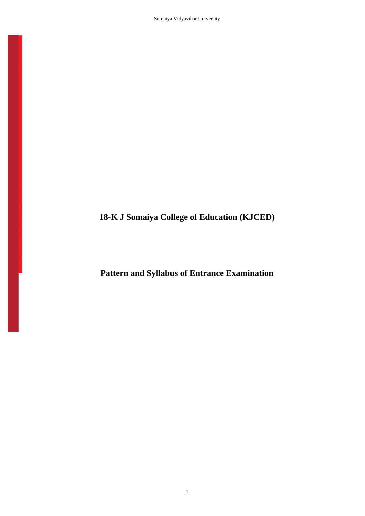Somaiya Vidyavihar University

1

**18-K J Somaiya College of Education (KJCED)**

**Pattern and Syllabus of Entrance Examination**